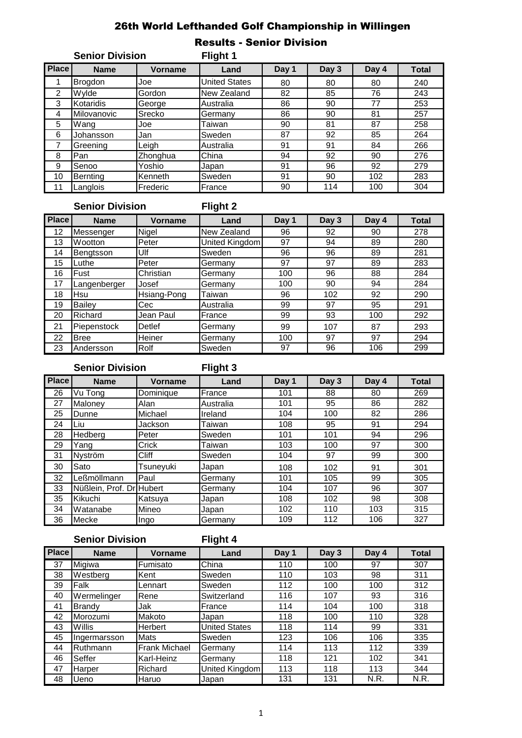# 26th World Lefthanded Golf Championship in Willingen

|              | <b>Senior Division</b> |                | Flight 1             |       |       |       |              |
|--------------|------------------------|----------------|----------------------|-------|-------|-------|--------------|
| <b>Place</b> | <b>Name</b>            | <b>Vorname</b> | Land                 | Day 1 | Day 3 | Day 4 | <b>Total</b> |
| 1            | <b>Brogdon</b>         | Joe            | <b>United States</b> | 80    | 80    | 80    | 240          |
| 2            | Wylde                  | Gordon         | New Zealand          | 82    | 85    | 76    | 243          |
| 3            | Kotaridis              | George         | Australia            | 86    | 90    | 77    | 253          |
| 4            | <b>Milovanovic</b>     | Srecko         | Germany              | 86    | 90    | 81    | 257          |
| 5            | Wang                   | Joe            | Taiwan               | 90    | 81    | 87    | 258          |
| 6            | Johansson              | Jan            | Sweden               | 87    | 92    | 85    | 264          |
| 7            | Greening               | Leigh          | Australia            | 91    | 91    | 84    | 266          |
| 8            | Pan                    | Zhonghua       | China                | 94    | 92    | 90    | 276          |
| 9            | Senoo                  | Yoshio         | Japan                | 91    | 96    | 92    | 279          |
| 10           | Bernting               | Kenneth        | Sweden               | 91    | 90    | 102   | 283          |
| 11           | Langlois               | Frederic       | France               | 90    | 114   | 100   | 304          |

# **Senior Division Flight 2**

| <b>Place</b> | <b>Name</b>   | <b>Vorname</b> | Land           | Day 1 | Day 3 | Day 4 | <b>Total</b> |
|--------------|---------------|----------------|----------------|-------|-------|-------|--------------|
| 12           | Messenger     | Nigel          | New Zealand    | 96    | 92    | 90    | 278          |
| 13           | Wootton       | Peter          | United Kingdom | 97    | 94    | 89    | 280          |
| 14           | Bengtsson     | Ulf            | Sweden         | 96    | 96    | 89    | 281          |
| 15           | Luthe         | Peter          | Germany        | 97    | 97    | 89    | 283          |
| 16           | Fust          | Christian      | Germany        | 100   | 96    | 88    | 284          |
| 17           | Langenberger  | Josef          | Germany        | 100   | 90    | 94    | 284          |
| 18           | Hsu           | Hsiang-Pong    | Taiwan         | 96    | 102   | 92    | 290          |
| 19           | <b>Bailev</b> | Cec            | Australia      | 99    | 97    | 95    | 291          |
| 20           | Richard       | Jean Paul      | France         | 99    | 93    | 100   | 292          |
| 21           | Piepenstock   | Detlef         | Germany        | 99    | 107   | 87    | 293          |
| 22           | <b>Bree</b>   | Heiner         | Germany        | 100   | 97    | 97    | 294          |
| 23           | Andersson     | Rolf           | Sweden         | 97    | 96    | 106   | 299          |

# **Senior Division Flight 3**

| <b>Place</b> | <b>Name</b>              | Vorname      | Land      | Day 1 | Day 3 | Day 4 | <b>Total</b> |
|--------------|--------------------------|--------------|-----------|-------|-------|-------|--------------|
| 26           | Vu Tong                  | Dominique    | France    | 101   | 88    | 80    | 269          |
| 27           | Malonev                  | Alan         | Australia | 101   | 95    | 86    | 282          |
| 25           | Dunne                    | Michael      | Ireland   | 104   | 100   | 82    | 286          |
| 24           | Liu                      | Jackson      | Taiwan    | 108   | 95    | 91    | 294          |
| 28           | Hedberg                  | Peter        | Sweden    | 101   | 101   | 94    | 296          |
| 29           | Yang                     | Crick        | Taiwan    | 103   | 100   | 97    | 300          |
| 31           | Nyström                  | <b>Cliff</b> | Sweden    | 104   | 97    | 99    | 300          |
| 30           | Sato                     | Tsunevuki    | Japan     | 108   | 102   | 91    | 301          |
| 32           | Leßmöllmann              | Paul         | Germany   | 101   | 105   | 99    | 305          |
| 33           | Nüßlein, Prof. Dr Hubert |              | Germany   | 104   | 107   | 96    | 307          |
| 35           | Kikuchi                  | Katsuya      | Japan     | 108   | 102   | 98    | 308          |
| 34           | Watanabe                 | Mineo        | Japan     | 102   | 110   | 103   | 315          |
| 36           | Mecke                    | Ingo         | Germany   | 109   | 112   | 106   | 327          |

# **Senior Division Flight 4**

| <b>Place</b> | <b>Name</b>  | Vorname              | Land                 | Day 1 | Day 3 | Day 4 | <b>Total</b> |
|--------------|--------------|----------------------|----------------------|-------|-------|-------|--------------|
| 37           | Migiwa       | Fumisato             | China                | 110   | 100   | 97    | 307          |
| 38           | Westberg     | Kent                 | Sweden               | 110   | 103   | 98    | 311          |
| 39           | Falk         | Lennart              | Sweden               | 112   | 100   | 100   | 312          |
| 40           | Wermelinger  | Rene                 | Switzerland          | 116   | 107   | 93    | 316          |
| 41           | Brandy       | Jak                  | France               | 114   | 104   | 100   | 318          |
| 42           | Morozumi     | Makoto               | Japan                | 118   | 100   | 110   | 328          |
| 43           | Willis       | Herbert              | <b>United States</b> | 118   | 114   | 99    | 331          |
| 45           | Ingermarsson | <b>Mats</b>          | Sweden               | 123   | 106   | 106   | 335          |
| 44           | Ruthmann     | <b>Frank Michael</b> | Germany              | 114   | 113   | 112   | 339          |
| 46           | Seffer       | Karl-Heinz           | Germany              | 118   | 121   | 102   | 341          |
| 47           | Harper       | Richard              | United Kingdom       | 113   | 118   | 113   | 344          |
| 48           | Ueno         | Haruo                | Japan                | 131   | 131   | N.R.  | N.R.         |